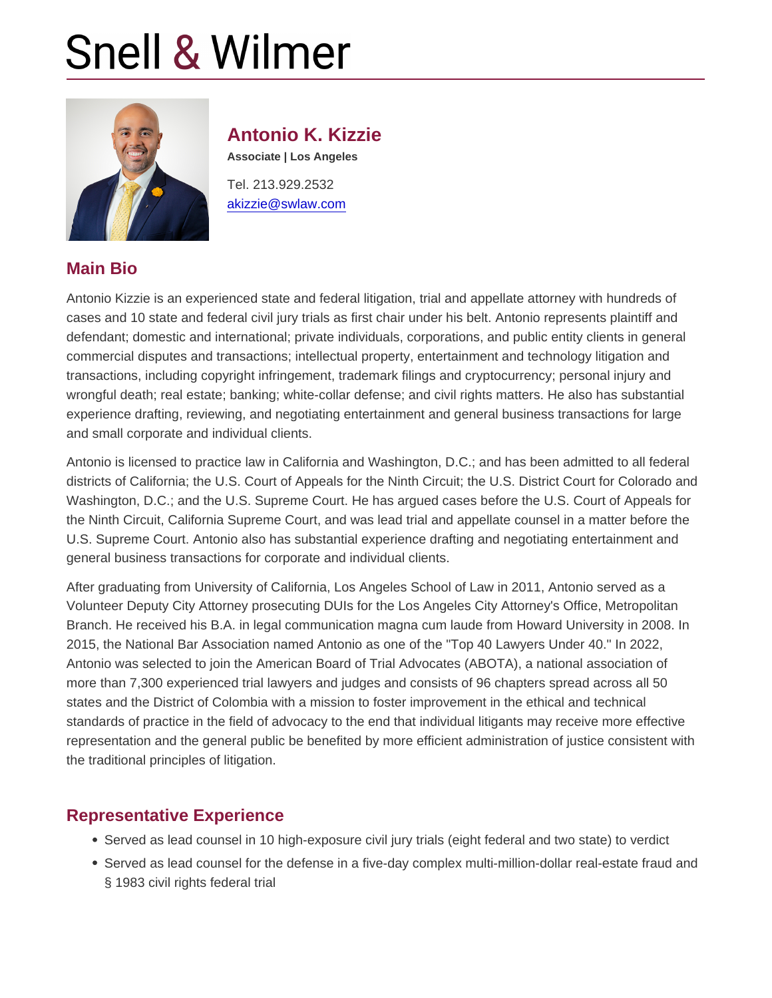# Antonio K. Kizzie

Associate | Los Angeles

Tel. 213.929.2532 [akizzie@swlaw.com](mailto:akizzie@swlaw.com)

#### Main Bio

Antonio Kizzie is an experienced state and federal litigation, trial and appellate attorney with hundreds of cases and 10 state and federal civil jury trials as first chair under his belt. Antonio represents plaintiff and defendant; domestic and international; private individuals, corporations, and public entity clients in general commercial disputes and transactions; intellectual property, entertainment and technology litigation and transactions, including copyright infringement, trademark filings and cryptocurrency; personal injury and wrongful death; real estate; banking; white-collar defense; and civil rights matters. He also has substantial experience drafting, reviewing, and negotiating entertainment and general business transactions for large and small corporate and individual clients.

Antonio is licensed to practice law in California and Washington, D.C.; and has been admitted to all federal districts of California; the U.S. Court of Appeals for the Ninth Circuit; the U.S. District Court for Colorado and Washington, D.C.; and the U.S. Supreme Court. He has argued cases before the U.S. Court of Appeals for the Ninth Circuit, California Supreme Court, and was lead trial and appellate counsel in a matter before the U.S. Supreme Court. Antonio also has substantial experience drafting and negotiating entertainment and general business transactions for corporate and individual clients.

After graduating from University of California, Los Angeles School of Law in 2011, Antonio served as a Volunteer Deputy City Attorney prosecuting DUIs for the Los Angeles City Attorney's Office, Metropolitan Branch. He received his B.A. in legal communication magna cum laude from Howard University in 2008. In 2015, the National Bar Association named Antonio as one of the "Top 40 Lawyers Under 40." In 2022, Antonio was selected to join the American Board of Trial Advocates (ABOTA), a national association of more than 7,300 experienced trial lawyers and judges and consists of 96 chapters spread across all 50 states and the District of Colombia with a mission to foster improvement in the ethical and technical standards of practice in the field of advocacy to the end that individual litigants may receive more effective representation and the general public be benefited by more efficient administration of justice consistent with the traditional principles of litigation.

#### Representative Experience

- Served as lead counsel in 10 high-exposure civil jury trials (eight federal and two state) to verdict
- Served as lead counsel for the defense in a five-day complex multi-million-dollar real-estate fraud and § 1983 civil rights federal trial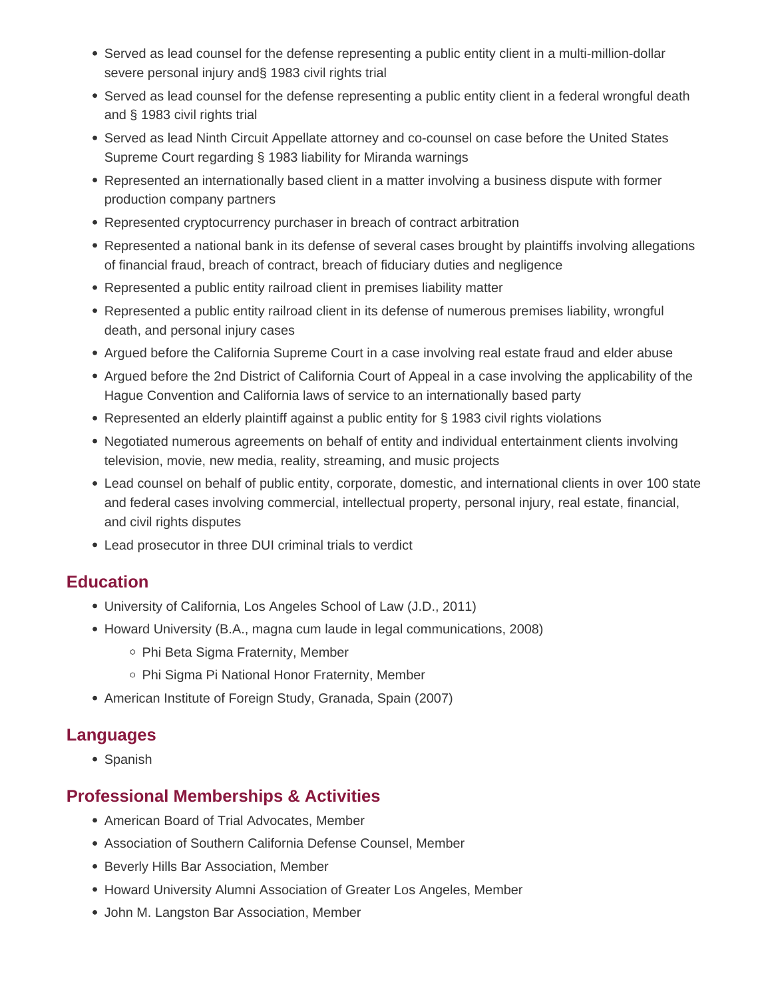- Served as lead counsel for the defense representing a public entity client in a multi-million-dollar severe personal injury and§ 1983 civil rights trial
- Served as lead counsel for the defense representing a public entity client in a federal wrongful death and § 1983 civil rights trial
- Served as lead Ninth Circuit Appellate attorney and co-counsel on case before the United States Supreme Court regarding § 1983 liability for Miranda warnings
- Represented an internationally based client in a matter involving a business dispute with former production company partners
- Represented cryptocurrency purchaser in breach of contract arbitration
- Represented a national bank in its defense of several cases brought by plaintiffs involving allegations of financial fraud, breach of contract, breach of fiduciary duties and negligence
- Represented a public entity railroad client in premises liability matter
- Represented a public entity railroad client in its defense of numerous premises liability, wrongful death, and personal injury cases
- Argued before the California Supreme Court in a case involving real estate fraud and elder abuse
- Argued before the 2nd District of California Court of Appeal in a case involving the applicability of the Hague Convention and California laws of service to an internationally based party
- Represented an elderly plaintiff against a public entity for § 1983 civil rights violations
- Negotiated numerous agreements on behalf of entity and individual entertainment clients involving television, movie, new media, reality, streaming, and music projects
- Lead counsel on behalf of public entity, corporate, domestic, and international clients in over 100 state and federal cases involving commercial, intellectual property, personal injury, real estate, financial, and civil rights disputes
- Lead prosecutor in three DUI criminal trials to verdict

## **Education**

- University of California, Los Angeles School of Law (J.D., 2011)
- Howard University (B.A., magna cum laude in legal communications, 2008)
	- Phi Beta Sigma Fraternity, Member
	- Phi Sigma Pi National Honor Fraternity, Member
- American Institute of Foreign Study, Granada, Spain (2007)

## **Languages**

• Spanish

## **Professional Memberships & Activities**

- American Board of Trial Advocates, Member
- Association of Southern California Defense Counsel, Member
- **Beverly Hills Bar Association, Member**
- Howard University Alumni Association of Greater Los Angeles, Member
- John M. Langston Bar Association, Member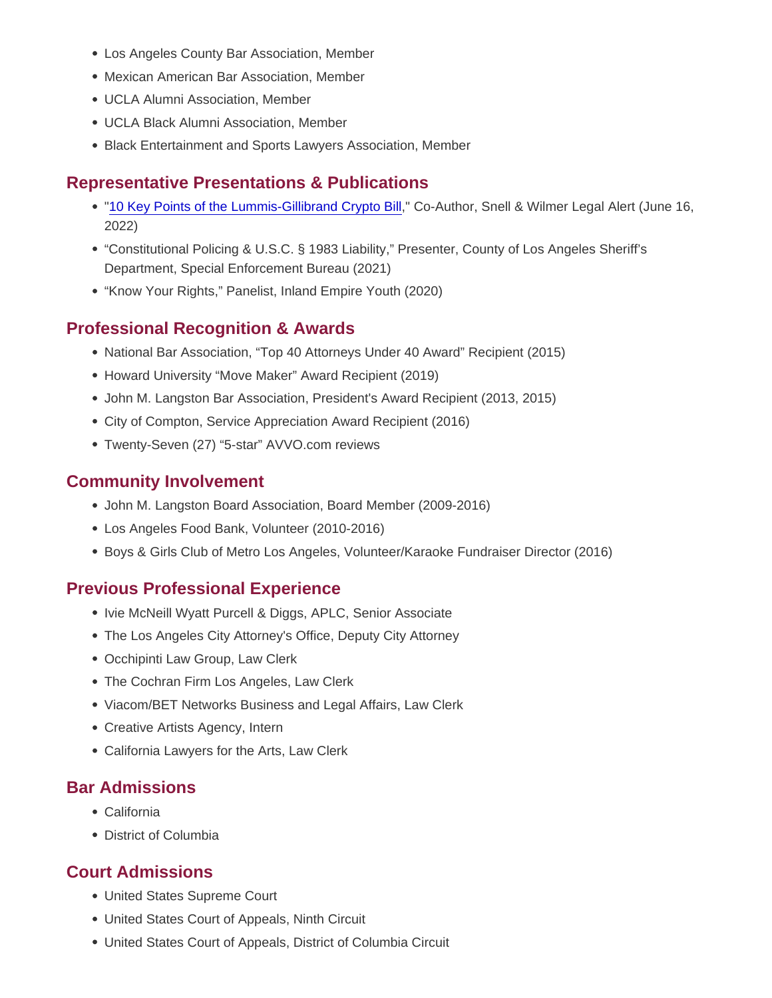- Los Angeles County Bar Association, Member
- Mexican American Bar Association, Member
- UCLA Alumni Association, Member
- UCLA Black Alumni Association, Member
- Black Entertainment and Sports Lawyers Association, Member

# Representative Presentations & Publications

- ["10 Key Points of the Lummis-Gillibrand Crypto Bill,](https://www.swlaw.com/publications/legal-alerts/3084)" Co-Author, Snell & Wilmer Legal Alert (June 16, 2022)
- "Constitutional Policing & U.S.C. § 1983 Liability," Presenter, County of Los Angeles Sheriff's Department, Special Enforcement Bureau (2021)
- "Know Your Rights," Panelist, Inland Empire Youth (2020)

## Professional Recognition & Awards

- National Bar Association, "Top 40 Attorneys Under 40 Award" Recipient (2015)
- Howard University "Move Maker" Award Recipient (2019)
- John M. Langston Bar Association, President's Award Recipient (2013, 2015)
- City of Compton, Service Appreciation Award Recipient (2016)
- Twenty-Seven (27) "5-star" AVVO.com reviews

#### Community Involvement

- John M. Langston Board Association, Board Member (2009-2016)
- Los Angeles Food Bank, Volunteer (2010-2016)
- Boys & Girls Club of Metro Los Angeles, Volunteer/Karaoke Fundraiser Director (2016)

## Previous Professional Experience

- Ivie McNeill Wyatt Purcell & Diggs, APLC, Senior Associate
- The Los Angeles City Attorney's Office, Deputy City Attorney
- Occhipinti Law Group, Law Clerk
- The Cochran Firm Los Angeles, Law Clerk
- Viacom/BET Networks Business and Legal Affairs, Law Clerk
- Creative Artists Agency, Intern
- California Lawyers for the Arts, Law Clerk

#### Bar Admissions

- California
- District of Columbia

## Court Admissions

- United States Supreme Court
- United States Court of Appeals, Ninth Circuit
- United States Court of Appeals, District of Columbia Circuit